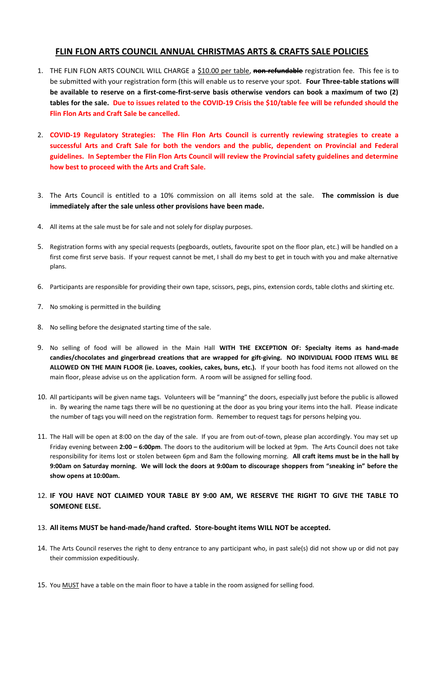## **FLIN FLON ARTS COUNCIL ANNUAL CHRISTMAS ARTS & CRAFTS SALE POLICIES**

- 1. THE FLIN FLON ARTS COUNCIL WILL CHARGE a \$10.00 per table, **non-refundable** registration fee. This fee is to be submitted with your registration form (this will enable us to reserve your spot. **Four Three-table stations will be available to reserve on a first-come-first-serve basis otherwise vendors can book a maximum of two (2) tables for the sale. Due to issues related to the COVID-19 Crisis the \$10/table fee will be refunded should the Flin Flon Arts and Craft Sale be cancelled.**
- 2. **COVID-19 Regulatory Strategies: The Flin Flon Arts Council is currently reviewing strategies to create a successful Arts and Craft Sale for both the vendors and the public, dependent on Provincial and Federal guidelines. In September the Flin Flon Arts Council will review the Provincial safety guidelines and determine how best to proceed with the Arts and Craft Sale.**
- 3. The Arts Council is entitled to a 10% commission on all items sold at the sale. **The commission is due immediately after the sale unless other provisions have been made.**
- 4. All items at the sale must be for sale and not solely for display purposes.
- 5. Registration forms with any special requests (pegboards, outlets, favourite spot on the floor plan, etc.) will be handled on a first come first serve basis. If your request cannot be met, I shall do my best to get in touch with you and make alternative plans.
- 6. Participants are responsible for providing their own tape, scissors, pegs, pins, extension cords, table cloths and skirting etc.
- 7. No smoking is permitted in the building
- 8. No selling before the designated starting time of the sale.
- 9. No selling of food will be allowed in the Main Hall **WITH THE EXCEPTION OF: Specialty items as hand-made candies/chocolates and gingerbread creations that are wrapped for gift-giving. NO INDIVIDUAL FOOD ITEMS WILL BE ALLOWED ON THE MAIN FLOOR (ie. Loaves, cookies, cakes, buns, etc.).** If your booth has food items not allowed on the main floor, please advise us on the application form. A room will be assigned for selling food.
- 10. All participants will be given name tags. Volunteers will be "manning" the doors, especially just before the public is allowed in. By wearing the name tags there will be no questioning at the door as you bring your items into the hall. Please indicate the number of tags you will need on the registration form. Remember to request tags for persons helping you.
- 11. The Hall will be open at 8:00 on the day of the sale. If you are from out-of-town, please plan accordingly. You may set up Friday evening between **2:00 – 6:00pm**. The doors to the auditorium will be locked at 9pm. The Arts Council does not take responsibility for items lost or stolen between 6pm and 8am the following morning. **All craft items must be in the hall by 9:00am on Saturday morning. We will lock the doors at 9:00am to discourage shoppers from "sneaking in" before the show opens at 10:00am.**
- 12. **IF YOU HAVE NOT CLAIMED YOUR TABLE BY 9:00 AM, WE RESERVE THE RIGHT TO GIVE THE TABLE TO SOMEONE ELSE.**

## 13. **All items MUST be hand-made/hand crafted. Store-bought items WILL NOT be accepted.**

- 14. The Arts Council reserves the right to deny entrance to any participant who, in past sale(s) did not show up or did not pay their commission expeditiously.
- 15. You MUST have a table on the main floor to have a table in the room assigned for selling food.